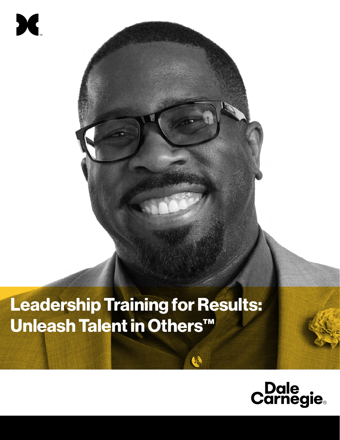# Leadership Training for Results: Unleash Talent in Others™

X

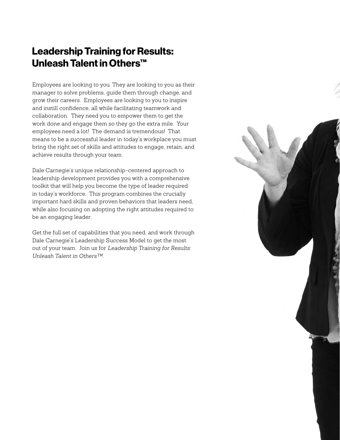# Leadership Training for Results: Unleash Talent in Others™

Employees are looking to you. They are looking to you as their manager to solve problems, guide them through change, and grow their careers. Employees are looking to you to inspire and instill confidence, all while facilitating teamwork and collaboration. They need you to empower them to get the work done and engage them so they go the extra mile. Your employees need a lot! The demand is tremendous! That means to be a successful leader in today's workplace you must bring the right set of skills and attitudes to engage, retain, and achieve results through your team.

Dale Carnegie's unique relationship-centered approach to leadership development provides you with a comprehensive toolkit that will help you become the type of leader required in today's workforce. This program combines the crucially important hard skills and proven behaviors that leaders need, while also focusing on adopting the right attitudes required to be an engaging leader.

Get the full set of capabilities that you need, and work through Dale Carnegie's Leadership Success Model to get the most out of your team. Join us for *Leadership Training for Results: Unleash Talent in Others™.*

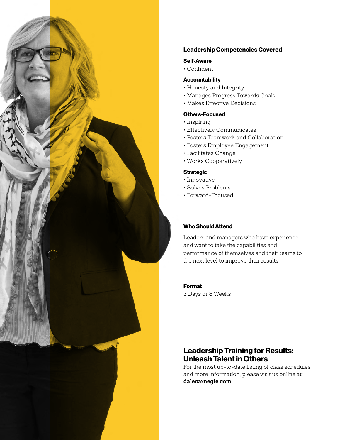

# Leadership Competencies Covered

### Self-Aware

• Confident

### Accountability

- Honesty and Integrity
- Manages Progress Towards Goals
- Makes Effective Decisions

# Others-Focused

- Inspiring
- Effectively Communicates
- Fosters Teamwork and Collaboration
- Fosters Employee Engagement
- Facilitates Change
- Works Cooperatively

### **Strategic**

- Innovative
- Solves Problems
- Forward-Focused

## Who Should Attend

Leaders and managers who have experience and want to take the capabilities and performance of themselves and their teams to the next level to improve their results.

### Format

3 Days or 8 Weeks

# Leadership Training for Results: Unleash Talent in Others

For the most up-to-date listing of class schedules and more information, please visit us online at: **dalecarnegie.com**